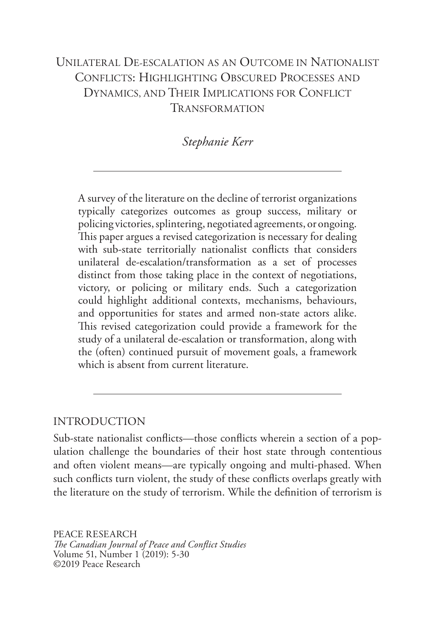# UNILATERAL DE-ESCALATION AS AN OUTCOME IN NATIONALIST CONFLICTS: HIGHLIGHTING OBSCURED PROCESSES AND DYNAMICS, AND THEIR IMPLICATIONS FOR CONFLICT TRANSFORMATION

## *Stephanie Kerr*

A survey of the literature on the decline of terrorist organizations typically categorizes outcomes as group success, military or policing victories, splintering, negotiated agreements, or ongoing. This paper argues a revised categorization is necessary for dealing with sub-state territorially nationalist conflicts that considers unilateral de-escalation/transformation as a set of processes distinct from those taking place in the context of negotiations, victory, or policing or military ends. Such a categorization could highlight additional contexts, mechanisms, behaviours, and opportunities for states and armed non-state actors alike. This revised categorization could provide a framework for the study of a unilateral de-escalation or transformation, along with the (often) continued pursuit of movement goals, a framework which is absent from current literature.

## INTRODUCTION

Sub-state nationalist conflicts—those conflicts wherein a section of a population challenge the boundaries of their host state through contentious and often violent means—are typically ongoing and multi-phased. When such conflicts turn violent, the study of these conflicts overlaps greatly with the literature on the study of terrorism. While the definition of terrorism is

PEACE RESEARCH *The Canadian Journal of Peace and Conflict Studies* Volume 51, Number 1 (2019): 5-30 ©2019 Peace Research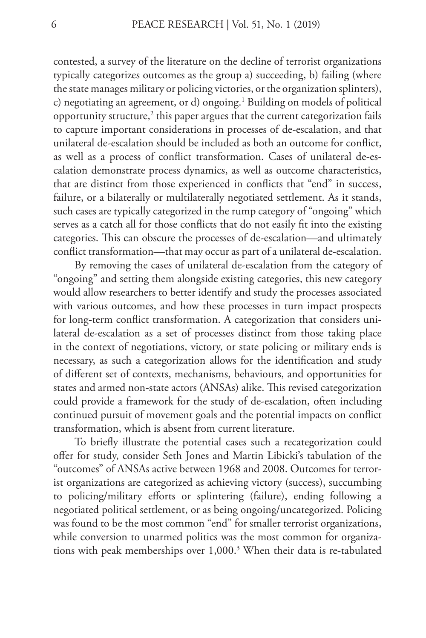contested, a survey of the literature on the decline of terrorist organizations typically categorizes outcomes as the group a) succeeding, b) failing (where the state manages military or policing victories, or the organization splinters), c) negotiating an agreement, or d) ongoing.1 Building on models of political opportunity structure, $^2$  this paper argues that the current categorization fails to capture important considerations in processes of de-escalation, and that unilateral de-escalation should be included as both an outcome for conflict, as well as a process of conflict transformation. Cases of unilateral de-escalation demonstrate process dynamics, as well as outcome characteristics, that are distinct from those experienced in conflicts that "end" in success, failure, or a bilaterally or multilaterally negotiated settlement. As it stands, such cases are typically categorized in the rump category of "ongoing" which serves as a catch all for those conflicts that do not easily fit into the existing categories. This can obscure the processes of de-escalation—and ultimately conflict transformation—that may occur as part of a unilateral de-escalation.

By removing the cases of unilateral de-escalation from the category of "ongoing" and setting them alongside existing categories, this new category would allow researchers to better identify and study the processes associated with various outcomes, and how these processes in turn impact prospects for long-term conflict transformation. A categorization that considers unilateral de-escalation as a set of processes distinct from those taking place in the context of negotiations, victory, or state policing or military ends is necessary, as such a categorization allows for the identification and study of different set of contexts, mechanisms, behaviours, and opportunities for states and armed non-state actors (ANSAs) alike. This revised categorization could provide a framework for the study of de-escalation, often including continued pursuit of movement goals and the potential impacts on conflict transformation, which is absent from current literature.

To briefly illustrate the potential cases such a recategorization could offer for study, consider Seth Jones and Martin Libicki's tabulation of the "outcomes" of ANSAs active between 1968 and 2008. Outcomes for terrorist organizations are categorized as achieving victory (success), succumbing to policing/military efforts or splintering (failure), ending following a negotiated political settlement, or as being ongoing/uncategorized. Policing was found to be the most common "end" for smaller terrorist organizations, while conversion to unarmed politics was the most common for organizations with peak memberships over 1,000.<sup>3</sup> When their data is re-tabulated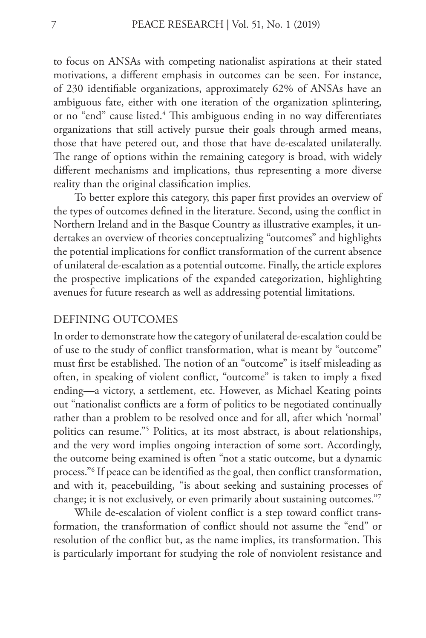to focus on ANSAs with competing nationalist aspirations at their stated motivations, a different emphasis in outcomes can be seen. For instance, of 230 identifiable organizations, approximately 62% of ANSAs have an ambiguous fate, either with one iteration of the organization splintering, or no "end" cause listed.<sup>4</sup> This ambiguous ending in no way differentiates organizations that still actively pursue their goals through armed means, those that have petered out, and those that have de-escalated unilaterally. The range of options within the remaining category is broad, with widely different mechanisms and implications, thus representing a more diverse reality than the original classification implies.

To better explore this category, this paper first provides an overview of the types of outcomes defined in the literature. Second, using the conflict in Northern Ireland and in the Basque Country as illustrative examples, it undertakes an overview of theories conceptualizing "outcomes" and highlights the potential implications for conflict transformation of the current absence of unilateral de-escalation as a potential outcome. Finally, the article explores the prospective implications of the expanded categorization, highlighting avenues for future research as well as addressing potential limitations.

## DEFINING OUTCOMES

In order to demonstrate how the category of unilateral de-escalation could be of use to the study of conflict transformation, what is meant by "outcome" must first be established. The notion of an "outcome" is itself misleading as often, in speaking of violent conflict, "outcome" is taken to imply a fixed ending—a victory, a settlement, etc. However, as Michael Keating points out "nationalist conflicts are a form of politics to be negotiated continually rather than a problem to be resolved once and for all, after which 'normal' politics can resume."5 Politics, at its most abstract, is about relationships, and the very word implies ongoing interaction of some sort. Accordingly, the outcome being examined is often "not a static outcome, but a dynamic process."6 If peace can be identified as the goal, then conflict transformation, and with it, peacebuilding, "is about seeking and sustaining processes of change; it is not exclusively, or even primarily about sustaining outcomes."7

While de-escalation of violent conflict is a step toward conflict transformation, the transformation of conflict should not assume the "end" or resolution of the conflict but, as the name implies, its transformation. This is particularly important for studying the role of nonviolent resistance and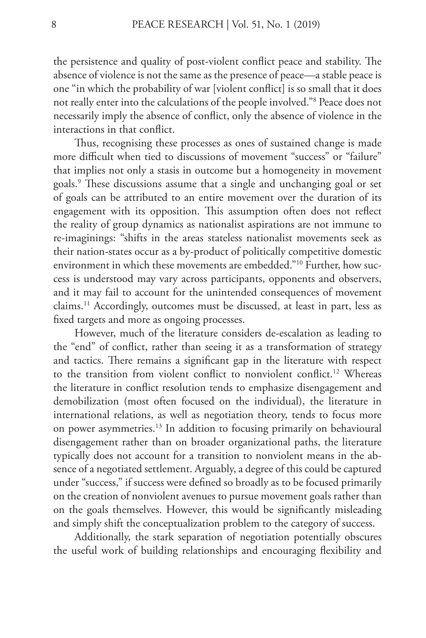the persistence and quality of post-violent conflict peace and stability. The absence of violence is not the same as the presence of peace—a stable peace is one "in which the probability of war [violent conflict] is so small that it does not really enter into the calculations of the people involved."8 Peace does not necessarily imply the absence of conflict, only the absence of violence in the interactions in that conflict.

Thus, recognising these processes as ones of sustained change is made more difficult when tied to discussions of movement "success" or "failure" that implies not only a stasis in outcome but a homogeneity in movement goals.9 These discussions assume that a single and unchanging goal or set of goals can be attributed to an entire movement over the duration of its engagement with its opposition. This assumption often does not reflect the reality of group dynamics as nationalist aspirations are not immune to re-imaginings: "shifts in the areas stateless nationalist movements seek as their nation-states occur as a by-product of politically competitive domestic environment in which these movements are embedded."10 Further, how success is understood may vary across participants, opponents and observers, and it may fail to account for the unintended consequences of movement claims.11 Accordingly, outcomes must be discussed, at least in part, less as fixed targets and more as ongoing processes.

However, much of the literature considers de-escalation as leading to the "end" of conflict, rather than seeing it as a transformation of strategy and tactics. There remains a significant gap in the literature with respect to the transition from violent conflict to nonviolent conflict.<sup>12</sup> Whereas the literature in conflict resolution tends to emphasize disengagement and demobilization (most often focused on the individual), the literature in international relations, as well as negotiation theory, tends to focus more on power asymmetries.<sup>13</sup> In addition to focusing primarily on behavioural disengagement rather than on broader organizational paths, the literature typically does not account for a transition to nonviolent means in the absence of a negotiated settlement. Arguably, a degree of this could be captured under "success," if success were defined so broadly as to be focused primarily on the creation of nonviolent avenues to pursue movement goals rather than on the goals themselves. However, this would be significantly misleading and simply shift the conceptualization problem to the category of success.

Additionally, the stark separation of negotiation potentially obscures the useful work of building relationships and encouraging flexibility and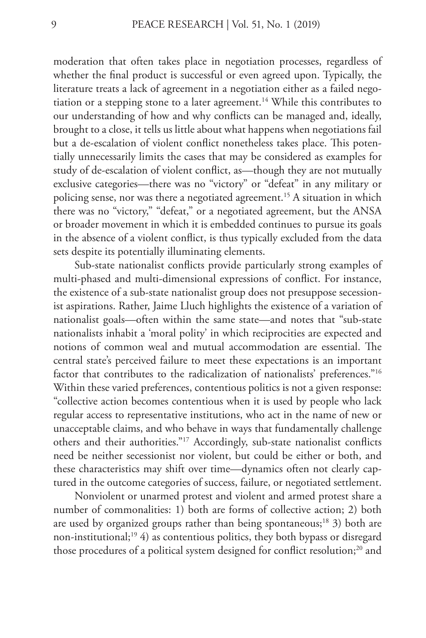moderation that often takes place in negotiation processes, regardless of whether the final product is successful or even agreed upon. Typically, the literature treats a lack of agreement in a negotiation either as a failed negotiation or a stepping stone to a later agreement.<sup>14</sup> While this contributes to our understanding of how and why conflicts can be managed and, ideally, brought to a close, it tells us little about what happens when negotiations fail but a de-escalation of violent conflict nonetheless takes place. This potentially unnecessarily limits the cases that may be considered as examples for study of de-escalation of violent conflict, as—though they are not mutually exclusive categories—there was no "victory" or "defeat" in any military or policing sense, nor was there a negotiated agreement.<sup>15</sup> A situation in which there was no "victory," "defeat," or a negotiated agreement, but the ANSA or broader movement in which it is embedded continues to pursue its goals in the absence of a violent conflict, is thus typically excluded from the data sets despite its potentially illuminating elements.

Sub-state nationalist conflicts provide particularly strong examples of multi-phased and multi-dimensional expressions of conflict. For instance, the existence of a sub-state nationalist group does not presuppose secessionist aspirations. Rather, Jaime Lluch highlights the existence of a variation of nationalist goals—often within the same state—and notes that "sub-state nationalists inhabit a 'moral polity' in which reciprocities are expected and notions of common weal and mutual accommodation are essential. The central state's perceived failure to meet these expectations is an important factor that contributes to the radicalization of nationalists' preferences."16 Within these varied preferences, contentious politics is not a given response: "collective action becomes contentious when it is used by people who lack regular access to representative institutions, who act in the name of new or unacceptable claims, and who behave in ways that fundamentally challenge others and their authorities."17 Accordingly, sub-state nationalist conflicts need be neither secessionist nor violent, but could be either or both, and these characteristics may shift over time—dynamics often not clearly captured in the outcome categories of success, failure, or negotiated settlement.

Nonviolent or unarmed protest and violent and armed protest share a number of commonalities: 1) both are forms of collective action; 2) both are used by organized groups rather than being spontaneous;<sup>18</sup> 3) both are non-institutional;19 4) as contentious politics, they both bypass or disregard those procedures of a political system designed for conflict resolution;<sup>20</sup> and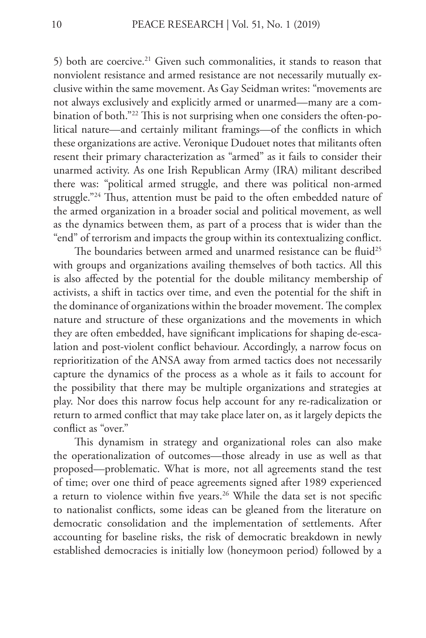5) both are coercive.<sup>21</sup> Given such commonalities, it stands to reason that nonviolent resistance and armed resistance are not necessarily mutually exclusive within the same movement. As Gay Seidman writes: "movements are not always exclusively and explicitly armed or unarmed—many are a combination of both."22 This is not surprising when one considers the often-political nature—and certainly militant framings—of the conflicts in which these organizations are active. Veronique Dudouet notes that militants often resent their primary characterization as "armed" as it fails to consider their unarmed activity. As one Irish Republican Army (IRA) militant described there was: "political armed struggle, and there was political non-armed struggle."24 Thus, attention must be paid to the often embedded nature of the armed organization in a broader social and political movement, as well as the dynamics between them, as part of a process that is wider than the "end" of terrorism and impacts the group within its contextualizing conflict.

The boundaries between armed and unarmed resistance can be fluid<sup>25</sup> with groups and organizations availing themselves of both tactics. All this is also affected by the potential for the double militancy membership of activists, a shift in tactics over time, and even the potential for the shift in the dominance of organizations within the broader movement. The complex nature and structure of these organizations and the movements in which they are often embedded, have significant implications for shaping de-escalation and post-violent conflict behaviour. Accordingly, a narrow focus on reprioritization of the ANSA away from armed tactics does not necessarily capture the dynamics of the process as a whole as it fails to account for the possibility that there may be multiple organizations and strategies at play. Nor does this narrow focus help account for any re-radicalization or return to armed conflict that may take place later on, as it largely depicts the conflict as "over."

This dynamism in strategy and organizational roles can also make the operationalization of outcomes—those already in use as well as that proposed—problematic. What is more, not all agreements stand the test of time; over one third of peace agreements signed after 1989 experienced a return to violence within five years.<sup>26</sup> While the data set is not specific to nationalist conflicts, some ideas can be gleaned from the literature on democratic consolidation and the implementation of settlements. After accounting for baseline risks, the risk of democratic breakdown in newly established democracies is initially low (honeymoon period) followed by a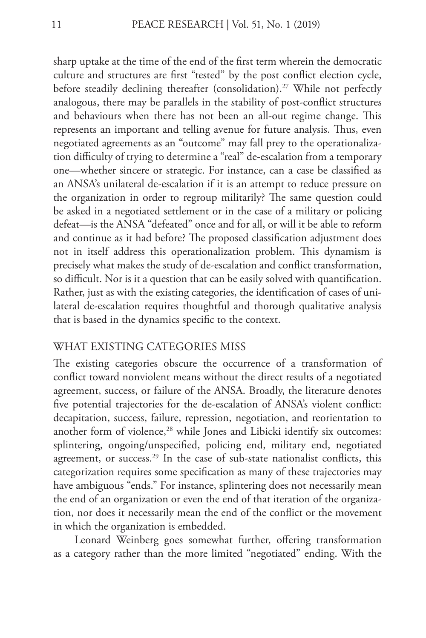sharp uptake at the time of the end of the first term wherein the democratic culture and structures are first "tested" by the post conflict election cycle, before steadily declining thereafter (consolidation).<sup>27</sup> While not perfectly analogous, there may be parallels in the stability of post-conflict structures and behaviours when there has not been an all-out regime change. This represents an important and telling avenue for future analysis. Thus, even negotiated agreements as an "outcome" may fall prey to the operationalization difficulty of trying to determine a "real" de-escalation from a temporary one—whether sincere or strategic. For instance, can a case be classified as an ANSA's unilateral de-escalation if it is an attempt to reduce pressure on the organization in order to regroup militarily? The same question could be asked in a negotiated settlement or in the case of a military or policing defeat—is the ANSA "defeated" once and for all, or will it be able to reform and continue as it had before? The proposed classification adjustment does not in itself address this operationalization problem. This dynamism is precisely what makes the study of de-escalation and conflict transformation, so difficult. Nor is it a question that can be easily solved with quantification. Rather, just as with the existing categories, the identification of cases of unilateral de-escalation requires thoughtful and thorough qualitative analysis that is based in the dynamics specific to the context.

## WHAT EXISTING CATEGORIES MISS

The existing categories obscure the occurrence of a transformation of conflict toward nonviolent means without the direct results of a negotiated agreement, success, or failure of the ANSA. Broadly, the literature denotes five potential trajectories for the de-escalation of ANSA's violent conflict: decapitation, success, failure, repression, negotiation, and reorientation to another form of violence,<sup>28</sup> while Jones and Libicki identify six outcomes: splintering, ongoing/unspecified, policing end, military end, negotiated agreement, or success.<sup>29</sup> In the case of sub-state nationalist conflicts, this categorization requires some specification as many of these trajectories may have ambiguous "ends." For instance, splintering does not necessarily mean the end of an organization or even the end of that iteration of the organization, nor does it necessarily mean the end of the conflict or the movement in which the organization is embedded.

Leonard Weinberg goes somewhat further, offering transformation as a category rather than the more limited "negotiated" ending. With the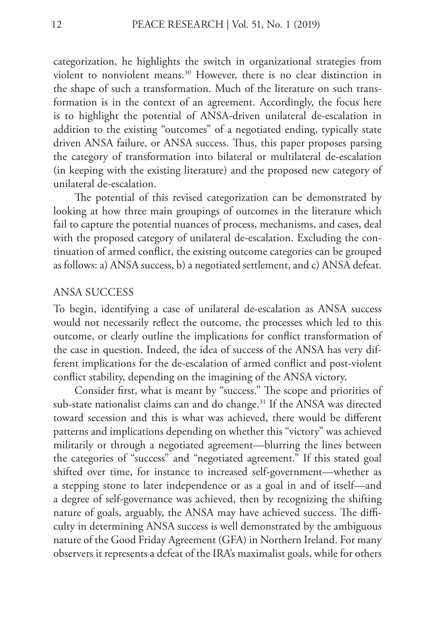categorization, he highlights the switch in organizational strategies from violent to nonviolent means.30 However, there is no clear distinction in the shape of such a transformation. Much of the literature on such transformation is in the context of an agreement. Accordingly, the focus here is to highlight the potential of ANSA-driven unilateral de-escalation in addition to the existing "outcomes" of a negotiated ending, typically state driven ANSA failure, or ANSA success. Thus, this paper proposes parsing the category of transformation into bilateral or multilateral de-escalation (in keeping with the existing literature) and the proposed new category of unilateral de-escalation.

The potential of this revised categorization can be demonstrated by looking at how three main groupings of outcomes in the literature which fail to capture the potential nuances of process, mechanisms, and cases, deal with the proposed category of unilateral de-escalation. Excluding the continuation of armed conflict, the existing outcome categories can be grouped as follows: a) ANSA success, b) a negotiated settlement, and c) ANSA defeat.

#### ANSA SUCCESS

To begin, identifying a case of unilateral de-escalation as ANSA success would not necessarily reflect the outcome, the processes which led to this outcome, or clearly outline the implications for conflict transformation of the case in question. Indeed, the idea of success of the ANSA has very different implications for the de-escalation of armed conflict and post-violent conflict stability, depending on the imagining of the ANSA victory.

Consider first, what is meant by "success." The scope and priorities of sub-state nationalist claims can and do change.<sup>31</sup> If the ANSA was directed toward secession and this is what was achieved, there would be different patterns and implications depending on whether this "victory" was achieved militarily or through a negotiated agreement—blurring the lines between the categories of "success" and "negotiated agreement." If this stated goal shifted over time, for instance to increased self-government—whether as a stepping stone to later independence or as a goal in and of itself—and a degree of self-governance was achieved, then by recognizing the shifting nature of goals, arguably, the ANSA may have achieved success. The difficulty in determining ANSA success is well demonstrated by the ambiguous nature of the Good Friday Agreement (GFA) in Northern Ireland. For many observers it represents a defeat of the IRA's maximalist goals, while for others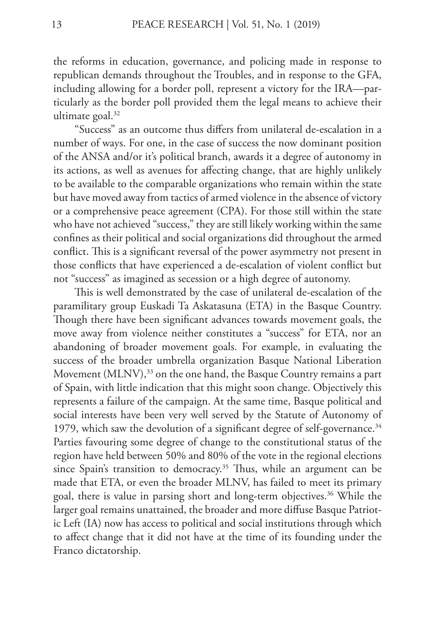the reforms in education, governance, and policing made in response to republican demands throughout the Troubles, and in response to the GFA, including allowing for a border poll, represent a victory for the IRA—particularly as the border poll provided them the legal means to achieve their ultimate goal.<sup>32</sup>

"Success" as an outcome thus differs from unilateral de-escalation in a number of ways. For one, in the case of success the now dominant position of the ANSA and/or it's political branch, awards it a degree of autonomy in its actions, as well as avenues for affecting change, that are highly unlikely to be available to the comparable organizations who remain within the state but have moved away from tactics of armed violence in the absence of victory or a comprehensive peace agreement (CPA). For those still within the state who have not achieved "success," they are still likely working within the same confines as their political and social organizations did throughout the armed conflict. This is a significant reversal of the power asymmetry not present in those conflicts that have experienced a de-escalation of violent conflict but not "success" as imagined as secession or a high degree of autonomy.

This is well demonstrated by the case of unilateral de-escalation of the paramilitary group Euskadi Ta Askatasuna (ETA) in the Basque Country. Though there have been significant advances towards movement goals, the move away from violence neither constitutes a "success" for ETA, nor an abandoning of broader movement goals. For example, in evaluating the success of the broader umbrella organization Basque National Liberation Movement (MLNV),<sup>33</sup> on the one hand, the Basque Country remains a part of Spain, with little indication that this might soon change. Objectively this represents a failure of the campaign. At the same time, Basque political and social interests have been very well served by the Statute of Autonomy of 1979, which saw the devolution of a significant degree of self-governance.<sup>34</sup> Parties favouring some degree of change to the constitutional status of the region have held between 50% and 80% of the vote in the regional elections since Spain's transition to democracy.<sup>35</sup> Thus, while an argument can be made that ETA, or even the broader MLNV, has failed to meet its primary goal, there is value in parsing short and long-term objectives.<sup>36</sup> While the larger goal remains unattained, the broader and more diffuse Basque Patriotic Left (IA) now has access to political and social institutions through which to affect change that it did not have at the time of its founding under the Franco dictatorship.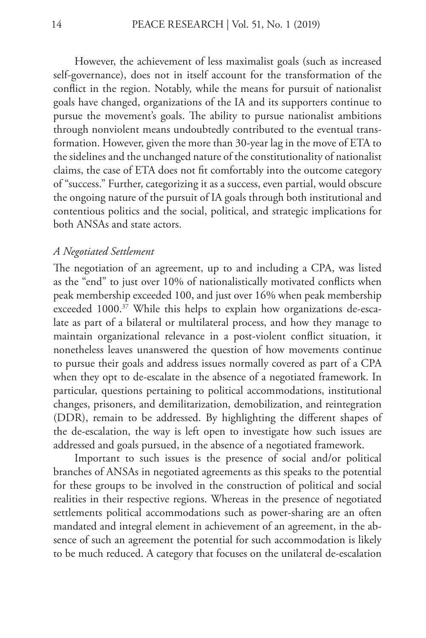However, the achievement of less maximalist goals (such as increased self-governance), does not in itself account for the transformation of the conflict in the region. Notably, while the means for pursuit of nationalist goals have changed, organizations of the IA and its supporters continue to pursue the movement's goals. The ability to pursue nationalist ambitions through nonviolent means undoubtedly contributed to the eventual transformation. However, given the more than 30-year lag in the move of ETA to the sidelines and the unchanged nature of the constitutionality of nationalist claims, the case of ETA does not fit comfortably into the outcome category of "success." Further, categorizing it as a success, even partial, would obscure the ongoing nature of the pursuit of IA goals through both institutional and contentious politics and the social, political, and strategic implications for both ANSAs and state actors.

## *A Negotiated Settlement*

The negotiation of an agreement, up to and including a CPA, was listed as the "end" to just over 10% of nationalistically motivated conflicts when peak membership exceeded 100, and just over 16% when peak membership exceeded 1000.<sup>37</sup> While this helps to explain how organizations de-escalate as part of a bilateral or multilateral process, and how they manage to maintain organizational relevance in a post-violent conflict situation, it nonetheless leaves unanswered the question of how movements continue to pursue their goals and address issues normally covered as part of a CPA when they opt to de-escalate in the absence of a negotiated framework. In particular, questions pertaining to political accommodations, institutional changes, prisoners, and demilitarization, demobilization, and reintegration (DDR), remain to be addressed. By highlighting the different shapes of the de-escalation, the way is left open to investigate how such issues are addressed and goals pursued, in the absence of a negotiated framework.

Important to such issues is the presence of social and/or political branches of ANSAs in negotiated agreements as this speaks to the potential for these groups to be involved in the construction of political and social realities in their respective regions. Whereas in the presence of negotiated settlements political accommodations such as power-sharing are an often mandated and integral element in achievement of an agreement, in the absence of such an agreement the potential for such accommodation is likely to be much reduced. A category that focuses on the unilateral de-escalation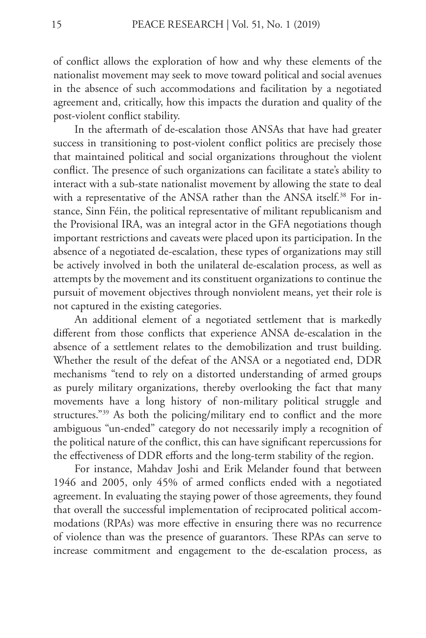of conflict allows the exploration of how and why these elements of the nationalist movement may seek to move toward political and social avenues in the absence of such accommodations and facilitation by a negotiated agreement and, critically, how this impacts the duration and quality of the post-violent conflict stability.

In the aftermath of de-escalation those ANSAs that have had greater success in transitioning to post-violent conflict politics are precisely those that maintained political and social organizations throughout the violent conflict. The presence of such organizations can facilitate a state's ability to interact with a sub-state nationalist movement by allowing the state to deal with a representative of the ANSA rather than the ANSA itself.<sup>38</sup> For instance, Sinn Féin, the political representative of militant republicanism and the Provisional IRA, was an integral actor in the GFA negotiations though important restrictions and caveats were placed upon its participation. In the absence of a negotiated de-escalation, these types of organizations may still be actively involved in both the unilateral de-escalation process, as well as attempts by the movement and its constituent organizations to continue the pursuit of movement objectives through nonviolent means, yet their role is not captured in the existing categories.

An additional element of a negotiated settlement that is markedly different from those conflicts that experience ANSA de-escalation in the absence of a settlement relates to the demobilization and trust building. Whether the result of the defeat of the ANSA or a negotiated end, DDR mechanisms "tend to rely on a distorted understanding of armed groups as purely military organizations, thereby overlooking the fact that many movements have a long history of non-military political struggle and structures."39 As both the policing/military end to conflict and the more ambiguous "un-ended" category do not necessarily imply a recognition of the political nature of the conflict, this can have significant repercussions for the effectiveness of DDR efforts and the long-term stability of the region.

For instance, Mahdav Joshi and Erik Melander found that between 1946 and 2005, only 45% of armed conflicts ended with a negotiated agreement. In evaluating the staying power of those agreements, they found that overall the successful implementation of reciprocated political accommodations (RPAs) was more effective in ensuring there was no recurrence of violence than was the presence of guarantors. These RPAs can serve to increase commitment and engagement to the de-escalation process, as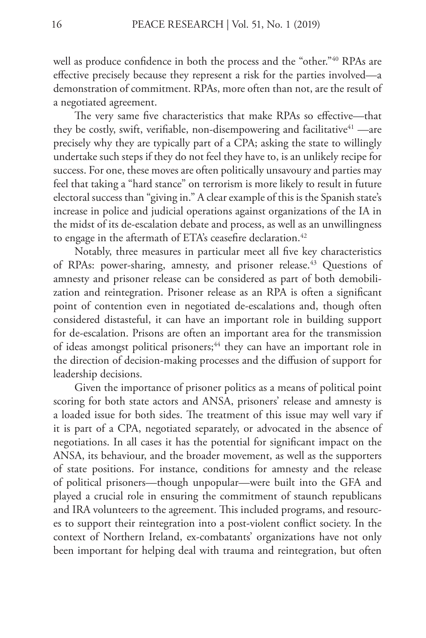well as produce confidence in both the process and the "other."<sup>40</sup> RPAs are effective precisely because they represent a risk for the parties involved—a demonstration of commitment. RPAs, more often than not, are the result of a negotiated agreement.

The very same five characteristics that make RPAs so effective—that they be costly, swift, verifiable, non-disempowering and facilitative $41$  —are precisely why they are typically part of a CPA; asking the state to willingly undertake such steps if they do not feel they have to, is an unlikely recipe for success. For one, these moves are often politically unsavoury and parties may feel that taking a "hard stance" on terrorism is more likely to result in future electoral success than "giving in." A clear example of this is the Spanish state's increase in police and judicial operations against organizations of the IA in the midst of its de-escalation debate and process, as well as an unwillingness to engage in the aftermath of ETA's ceasefire declaration.<sup>42</sup>

Notably, three measures in particular meet all five key characteristics of RPAs: power-sharing, amnesty, and prisoner release.<sup>43</sup> Questions of amnesty and prisoner release can be considered as part of both demobilization and reintegration. Prisoner release as an RPA is often a significant point of contention even in negotiated de-escalations and, though often considered distasteful, it can have an important role in building support for de-escalation. Prisons are often an important area for the transmission of ideas amongst political prisoners;<sup>44</sup> they can have an important role in the direction of decision-making processes and the diffusion of support for leadership decisions.

Given the importance of prisoner politics as a means of political point scoring for both state actors and ANSA, prisoners' release and amnesty is a loaded issue for both sides. The treatment of this issue may well vary if it is part of a CPA, negotiated separately, or advocated in the absence of negotiations. In all cases it has the potential for significant impact on the ANSA, its behaviour, and the broader movement, as well as the supporters of state positions. For instance, conditions for amnesty and the release of political prisoners—though unpopular—were built into the GFA and played a crucial role in ensuring the commitment of staunch republicans and IRA volunteers to the agreement. This included programs, and resources to support their reintegration into a post-violent conflict society. In the context of Northern Ireland, ex-combatants' organizations have not only been important for helping deal with trauma and reintegration, but often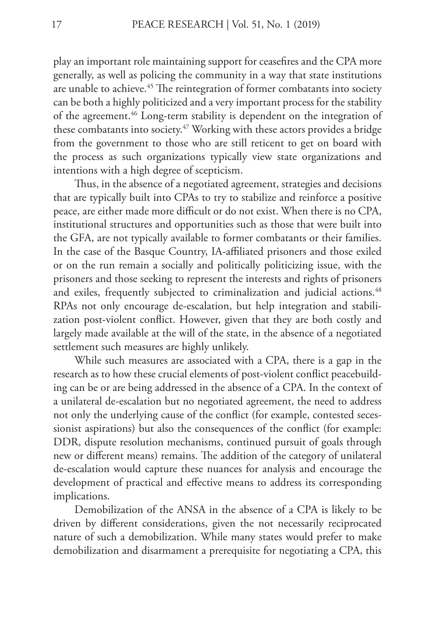play an important role maintaining support for ceasefires and the CPA more generally, as well as policing the community in a way that state institutions are unable to achieve.<sup>45</sup> The reintegration of former combatants into society can be both a highly politicized and a very important process for the stability of the agreement.<sup>46</sup> Long-term stability is dependent on the integration of these combatants into society.<sup>47</sup> Working with these actors provides a bridge from the government to those who are still reticent to get on board with the process as such organizations typically view state organizations and intentions with a high degree of scepticism.

Thus, in the absence of a negotiated agreement, strategies and decisions that are typically built into CPAs to try to stabilize and reinforce a positive peace, are either made more difficult or do not exist. When there is no CPA, institutional structures and opportunities such as those that were built into the GFA, are not typically available to former combatants or their families. In the case of the Basque Country, IA-affiliated prisoners and those exiled or on the run remain a socially and politically politicizing issue, with the prisoners and those seeking to represent the interests and rights of prisoners and exiles, frequently subjected to criminalization and judicial actions.<sup>48</sup> RPAs not only encourage de-escalation, but help integration and stabilization post-violent conflict. However, given that they are both costly and largely made available at the will of the state, in the absence of a negotiated settlement such measures are highly unlikely.

While such measures are associated with a CPA, there is a gap in the research as to how these crucial elements of post-violent conflict peacebuilding can be or are being addressed in the absence of a CPA. In the context of a unilateral de-escalation but no negotiated agreement, the need to address not only the underlying cause of the conflict (for example, contested secessionist aspirations) but also the consequences of the conflict (for example: DDR, dispute resolution mechanisms, continued pursuit of goals through new or different means) remains. The addition of the category of unilateral de-escalation would capture these nuances for analysis and encourage the development of practical and effective means to address its corresponding implications.

Demobilization of the ANSA in the absence of a CPA is likely to be driven by different considerations, given the not necessarily reciprocated nature of such a demobilization. While many states would prefer to make demobilization and disarmament a prerequisite for negotiating a CPA, this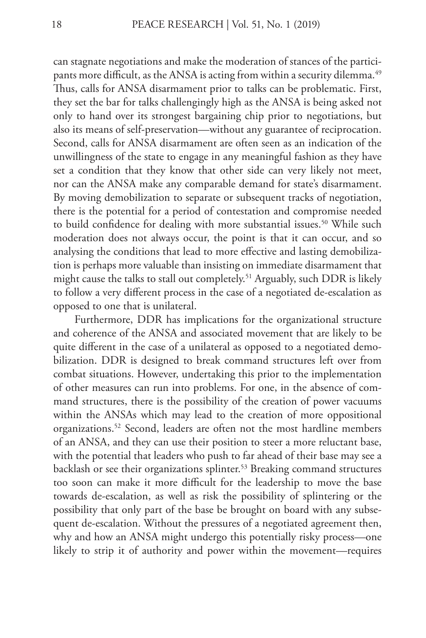can stagnate negotiations and make the moderation of stances of the participants more difficult, as the ANSA is acting from within a security dilemma.<sup>49</sup> Thus, calls for ANSA disarmament prior to talks can be problematic. First, they set the bar for talks challengingly high as the ANSA is being asked not only to hand over its strongest bargaining chip prior to negotiations, but also its means of self-preservation—without any guarantee of reciprocation. Second, calls for ANSA disarmament are often seen as an indication of the unwillingness of the state to engage in any meaningful fashion as they have set a condition that they know that other side can very likely not meet, nor can the ANSA make any comparable demand for state's disarmament. By moving demobilization to separate or subsequent tracks of negotiation, there is the potential for a period of contestation and compromise needed to build confidence for dealing with more substantial issues.<sup>50</sup> While such moderation does not always occur, the point is that it can occur, and so analysing the conditions that lead to more effective and lasting demobilization is perhaps more valuable than insisting on immediate disarmament that might cause the talks to stall out completely.<sup>51</sup> Arguably, such DDR is likely to follow a very different process in the case of a negotiated de-escalation as opposed to one that is unilateral.

Furthermore, DDR has implications for the organizational structure and coherence of the ANSA and associated movement that are likely to be quite different in the case of a unilateral as opposed to a negotiated demobilization. DDR is designed to break command structures left over from combat situations. However, undertaking this prior to the implementation of other measures can run into problems. For one, in the absence of command structures, there is the possibility of the creation of power vacuums within the ANSAs which may lead to the creation of more oppositional organizations.52 Second, leaders are often not the most hardline members of an ANSA, and they can use their position to steer a more reluctant base, with the potential that leaders who push to far ahead of their base may see a backlash or see their organizations splinter.<sup>53</sup> Breaking command structures too soon can make it more difficult for the leadership to move the base towards de-escalation, as well as risk the possibility of splintering or the possibility that only part of the base be brought on board with any subsequent de-escalation. Without the pressures of a negotiated agreement then, why and how an ANSA might undergo this potentially risky process—one likely to strip it of authority and power within the movement—requires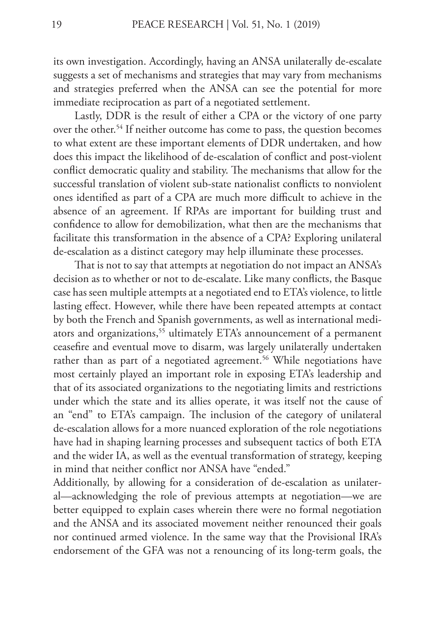its own investigation. Accordingly, having an ANSA unilaterally de-escalate suggests a set of mechanisms and strategies that may vary from mechanisms and strategies preferred when the ANSA can see the potential for more immediate reciprocation as part of a negotiated settlement.

Lastly, DDR is the result of either a CPA or the victory of one party over the other.<sup>54</sup> If neither outcome has come to pass, the question becomes to what extent are these important elements of DDR undertaken, and how does this impact the likelihood of de-escalation of conflict and post-violent conflict democratic quality and stability. The mechanisms that allow for the successful translation of violent sub-state nationalist conflicts to nonviolent ones identified as part of a CPA are much more difficult to achieve in the absence of an agreement. If RPAs are important for building trust and confidence to allow for demobilization, what then are the mechanisms that facilitate this transformation in the absence of a CPA? Exploring unilateral de-escalation as a distinct category may help illuminate these processes.

That is not to say that attempts at negotiation do not impact an ANSA's decision as to whether or not to de-escalate. Like many conflicts, the Basque case has seen multiple attempts at a negotiated end to ETA's violence, to little lasting effect. However, while there have been repeated attempts at contact by both the French and Spanish governments, as well as international mediators and organizations,<sup>55</sup> ultimately ETA's announcement of a permanent ceasefire and eventual move to disarm, was largely unilaterally undertaken rather than as part of a negotiated agreement.<sup>56</sup> While negotiations have most certainly played an important role in exposing ETA's leadership and that of its associated organizations to the negotiating limits and restrictions under which the state and its allies operate, it was itself not the cause of an "end" to ETA's campaign. The inclusion of the category of unilateral de-escalation allows for a more nuanced exploration of the role negotiations have had in shaping learning processes and subsequent tactics of both ETA and the wider IA, as well as the eventual transformation of strategy, keeping in mind that neither conflict nor ANSA have "ended."

Additionally, by allowing for a consideration of de-escalation as unilateral—acknowledging the role of previous attempts at negotiation—we are better equipped to explain cases wherein there were no formal negotiation and the ANSA and its associated movement neither renounced their goals nor continued armed violence. In the same way that the Provisional IRA's endorsement of the GFA was not a renouncing of its long-term goals, the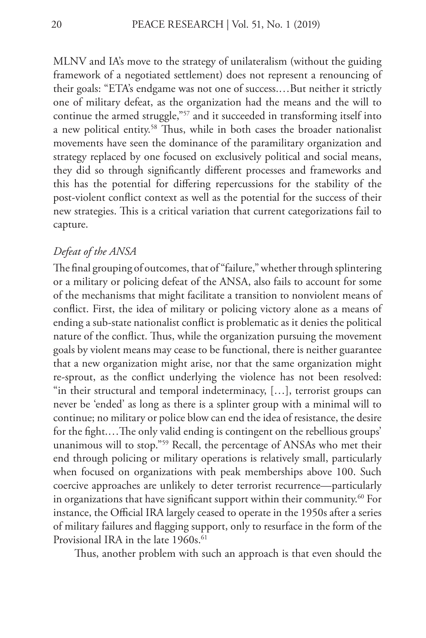MLNV and IA's move to the strategy of unilateralism (without the guiding framework of a negotiated settlement) does not represent a renouncing of their goals: "ETA's endgame was not one of success.…But neither it strictly one of military defeat, as the organization had the means and the will to continue the armed struggle,"57 and it succeeded in transforming itself into a new political entity.58 Thus, while in both cases the broader nationalist movements have seen the dominance of the paramilitary organization and strategy replaced by one focused on exclusively political and social means, they did so through significantly different processes and frameworks and this has the potential for differing repercussions for the stability of the post-violent conflict context as well as the potential for the success of their new strategies. This is a critical variation that current categorizations fail to capture.

### *Defeat of the ANSA*

The final grouping of outcomes, that of "failure," whether through splintering or a military or policing defeat of the ANSA, also fails to account for some of the mechanisms that might facilitate a transition to nonviolent means of conflict. First, the idea of military or policing victory alone as a means of ending a sub-state nationalist conflict is problematic as it denies the political nature of the conflict. Thus, while the organization pursuing the movement goals by violent means may cease to be functional, there is neither guarantee that a new organization might arise, nor that the same organization might re-sprout, as the conflict underlying the violence has not been resolved: "in their structural and temporal indeterminacy, […], terrorist groups can never be 'ended' as long as there is a splinter group with a minimal will to continue; no military or police blow can end the idea of resistance, the desire for the fight.…The only valid ending is contingent on the rebellious groups' unanimous will to stop."59 Recall, the percentage of ANSAs who met their end through policing or military operations is relatively small, particularly when focused on organizations with peak memberships above 100. Such coercive approaches are unlikely to deter terrorist recurrence—particularly in organizations that have significant support within their community.<sup>60</sup> For instance, the Official IRA largely ceased to operate in the 1950s after a series of military failures and flagging support, only to resurface in the form of the Provisional IRA in the late 1960s.<sup>61</sup>

Thus, another problem with such an approach is that even should the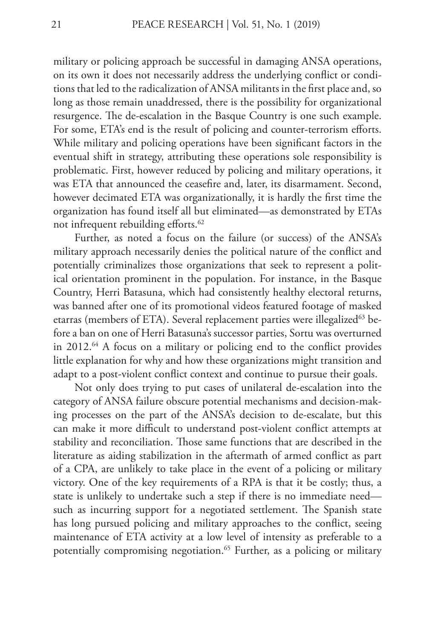military or policing approach be successful in damaging ANSA operations, on its own it does not necessarily address the underlying conflict or conditions that led to the radicalization of ANSA militants in the first place and, so long as those remain unaddressed, there is the possibility for organizational resurgence. The de-escalation in the Basque Country is one such example. For some, ETA's end is the result of policing and counter-terrorism efforts. While military and policing operations have been significant factors in the eventual shift in strategy, attributing these operations sole responsibility is problematic. First, however reduced by policing and military operations, it was ETA that announced the ceasefire and, later, its disarmament. Second, however decimated ETA was organizationally, it is hardly the first time the organization has found itself all but eliminated—as demonstrated by ETAs not infrequent rebuilding efforts.<sup>62</sup>

Further, as noted a focus on the failure (or success) of the ANSA's military approach necessarily denies the political nature of the conflict and potentially criminalizes those organizations that seek to represent a political orientation prominent in the population. For instance, in the Basque Country, Herri Batasuna, which had consistently healthy electoral returns, was banned after one of its promotional videos featured footage of masked etarras (members of ETA). Several replacement parties were illegalized<sup>63</sup> before a ban on one of Herri Batasuna's successor parties, Sortu was overturned in 2012.64 A focus on a military or policing end to the conflict provides little explanation for why and how these organizations might transition and adapt to a post-violent conflict context and continue to pursue their goals.

Not only does trying to put cases of unilateral de-escalation into the category of ANSA failure obscure potential mechanisms and decision-making processes on the part of the ANSA's decision to de-escalate, but this can make it more difficult to understand post-violent conflict attempts at stability and reconciliation. Those same functions that are described in the literature as aiding stabilization in the aftermath of armed conflict as part of a CPA, are unlikely to take place in the event of a policing or military victory. One of the key requirements of a RPA is that it be costly; thus, a state is unlikely to undertake such a step if there is no immediate need such as incurring support for a negotiated settlement. The Spanish state has long pursued policing and military approaches to the conflict, seeing maintenance of ETA activity at a low level of intensity as preferable to a potentially compromising negotiation.<sup>65</sup> Further, as a policing or military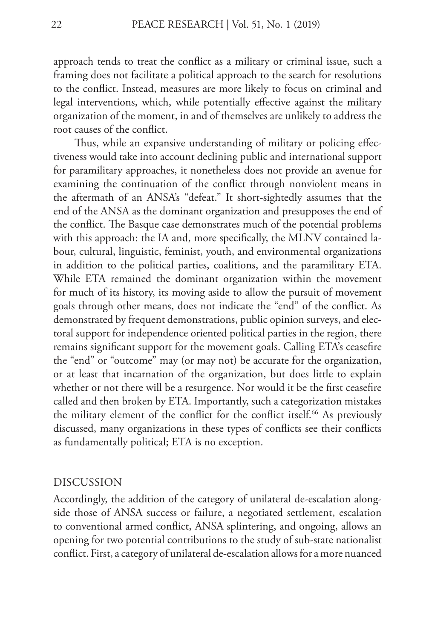approach tends to treat the conflict as a military or criminal issue, such a framing does not facilitate a political approach to the search for resolutions to the conflict. Instead, measures are more likely to focus on criminal and legal interventions, which, while potentially effective against the military organization of the moment, in and of themselves are unlikely to address the root causes of the conflict.

Thus, while an expansive understanding of military or policing effectiveness would take into account declining public and international support for paramilitary approaches, it nonetheless does not provide an avenue for examining the continuation of the conflict through nonviolent means in the aftermath of an ANSA's "defeat." It short-sightedly assumes that the end of the ANSA as the dominant organization and presupposes the end of the conflict. The Basque case demonstrates much of the potential problems with this approach: the IA and, more specifically, the MLNV contained labour, cultural, linguistic, feminist, youth, and environmental organizations in addition to the political parties, coalitions, and the paramilitary ETA. While ETA remained the dominant organization within the movement for much of its history, its moving aside to allow the pursuit of movement goals through other means, does not indicate the "end" of the conflict. As demonstrated by frequent demonstrations, public opinion surveys, and electoral support for independence oriented political parties in the region, there remains significant support for the movement goals. Calling ETA's ceasefire the "end" or "outcome" may (or may not) be accurate for the organization, or at least that incarnation of the organization, but does little to explain whether or not there will be a resurgence. Nor would it be the first ceasefire called and then broken by ETA. Importantly, such a categorization mistakes the military element of the conflict for the conflict itself.<sup>66</sup> As previously discussed, many organizations in these types of conflicts see their conflicts as fundamentally political; ETA is no exception.

#### DISCUSSION

Accordingly, the addition of the category of unilateral de-escalation alongside those of ANSA success or failure, a negotiated settlement, escalation to conventional armed conflict, ANSA splintering, and ongoing, allows an opening for two potential contributions to the study of sub-state nationalist conflict. First, a category of unilateral de-escalation allows for a more nuanced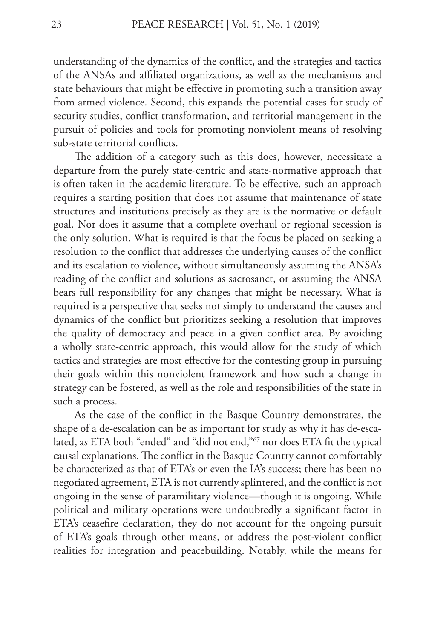understanding of the dynamics of the conflict, and the strategies and tactics of the ANSAs and affiliated organizations, as well as the mechanisms and state behaviours that might be effective in promoting such a transition away from armed violence. Second, this expands the potential cases for study of security studies, conflict transformation, and territorial management in the pursuit of policies and tools for promoting nonviolent means of resolving sub-state territorial conflicts.

The addition of a category such as this does, however, necessitate a departure from the purely state-centric and state-normative approach that is often taken in the academic literature. To be effective, such an approach requires a starting position that does not assume that maintenance of state structures and institutions precisely as they are is the normative or default goal. Nor does it assume that a complete overhaul or regional secession is the only solution. What is required is that the focus be placed on seeking a resolution to the conflict that addresses the underlying causes of the conflict and its escalation to violence, without simultaneously assuming the ANSA's reading of the conflict and solutions as sacrosanct, or assuming the ANSA bears full responsibility for any changes that might be necessary. What is required is a perspective that seeks not simply to understand the causes and dynamics of the conflict but prioritizes seeking a resolution that improves the quality of democracy and peace in a given conflict area. By avoiding a wholly state-centric approach, this would allow for the study of which tactics and strategies are most effective for the contesting group in pursuing their goals within this nonviolent framework and how such a change in strategy can be fostered, as well as the role and responsibilities of the state in such a process.

As the case of the conflict in the Basque Country demonstrates, the shape of a de-escalation can be as important for study as why it has de-escalated, as ETA both "ended" and "did not end,"67 nor does ETA fit the typical causal explanations. The conflict in the Basque Country cannot comfortably be characterized as that of ETA's or even the IA's success; there has been no negotiated agreement, ETA is not currently splintered, and the conflict is not ongoing in the sense of paramilitary violence—though it is ongoing. While political and military operations were undoubtedly a significant factor in ETA's ceasefire declaration, they do not account for the ongoing pursuit of ETA's goals through other means, or address the post-violent conflict realities for integration and peacebuilding. Notably, while the means for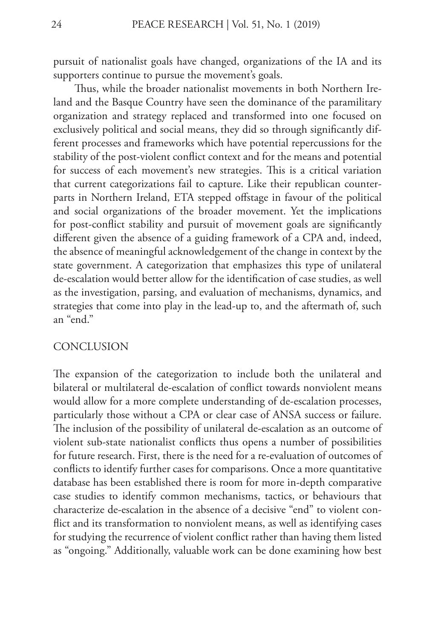pursuit of nationalist goals have changed, organizations of the IA and its supporters continue to pursue the movement's goals.

Thus, while the broader nationalist movements in both Northern Ireland and the Basque Country have seen the dominance of the paramilitary organization and strategy replaced and transformed into one focused on exclusively political and social means, they did so through significantly different processes and frameworks which have potential repercussions for the stability of the post-violent conflict context and for the means and potential for success of each movement's new strategies. This is a critical variation that current categorizations fail to capture. Like their republican counterparts in Northern Ireland, ETA stepped offstage in favour of the political and social organizations of the broader movement. Yet the implications for post-conflict stability and pursuit of movement goals are significantly different given the absence of a guiding framework of a CPA and, indeed, the absence of meaningful acknowledgement of the change in context by the state government. A categorization that emphasizes this type of unilateral de-escalation would better allow for the identification of case studies, as well as the investigation, parsing, and evaluation of mechanisms, dynamics, and strategies that come into play in the lead-up to, and the aftermath of, such an "end."

#### **CONCLUSION**

The expansion of the categorization to include both the unilateral and bilateral or multilateral de-escalation of conflict towards nonviolent means would allow for a more complete understanding of de-escalation processes, particularly those without a CPA or clear case of ANSA success or failure. The inclusion of the possibility of unilateral de-escalation as an outcome of violent sub-state nationalist conflicts thus opens a number of possibilities for future research. First, there is the need for a re-evaluation of outcomes of conflicts to identify further cases for comparisons. Once a more quantitative database has been established there is room for more in-depth comparative case studies to identify common mechanisms, tactics, or behaviours that characterize de-escalation in the absence of a decisive "end" to violent conflict and its transformation to nonviolent means, as well as identifying cases for studying the recurrence of violent conflict rather than having them listed as "ongoing." Additionally, valuable work can be done examining how best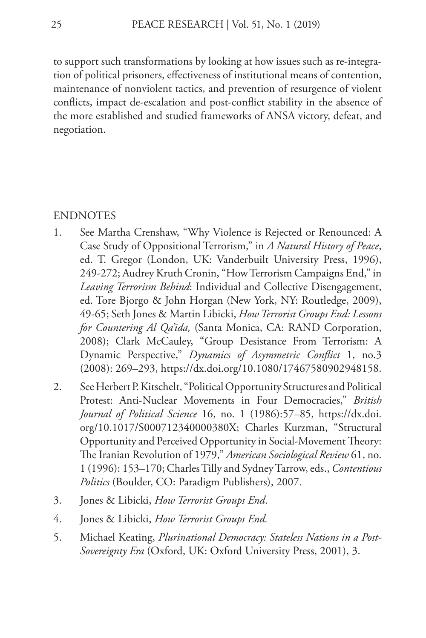to support such transformations by looking at how issues such as re-integration of political prisoners, effectiveness of institutional means of contention, maintenance of nonviolent tactics, and prevention of resurgence of violent conflicts, impact de-escalation and post-conflict stability in the absence of the more established and studied frameworks of ANSA victory, defeat, and negotiation.

#### ENDNOTES

- 1. See Martha Crenshaw, "Why Violence is Rejected or Renounced: A Case Study of Oppositional Terrorism," in *A Natural History of Peace*, ed. T. Gregor (London, UK: Vanderbuilt University Press, 1996), 249-272; Audrey Kruth Cronin, "How Terrorism Campaigns End," in *Leaving Terrorism Behind*: Individual and Collective Disengagement, ed. Tore Bjorgo & John Horgan (New York, NY: Routledge, 2009), 49-65; Seth Jones & Martin Libicki, *How Terrorist Groups End: Lessons for Countering Al Qa'ida,* (Santa Monica, CA: RAND Corporation, 2008); Clark McCauley, "Group Desistance From Terrorism: A Dynamic Perspective," *Dynamics of Asymmetric Conflict* 1, no.3 (2008): 269–293, https://dx.doi.org/10.1080/17467580902948158.
- 2. See Herbert P. Kitschelt, "Political Opportunity Structures and Political Protest: Anti-Nuclear Movements in Four Democracies," *British Journal of Political Science* 16, no. 1 (1986):57–85, https://dx.doi. org/10.1017/S000712340000380X; Charles Kurzman, "Structural Opportunity and Perceived Opportunity in Social-Movement Theory: The Iranian Revolution of 1979," *American Sociological Review* 61, no. 1 (1996): 153–170; Charles Tilly and Sydney Tarrow, eds., *Contentious Politics* (Boulder, CO: Paradigm Publishers), 2007.
- 3. Jones & Libicki, *How Terrorist Groups End*.
- 4. Jones & Libicki, *How Terrorist Groups End.*
- 5. Michael Keating, *Plurinational Democracy: Stateless Nations in a Post-Sovereignty Era* (Oxford, UK: Oxford University Press, 2001), 3.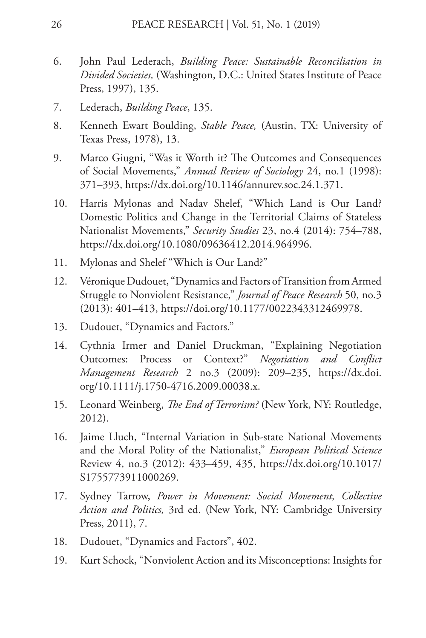- 6. John Paul Lederach, *Building Peace: Sustainable Reconciliation in Divided Societies,* (Washington, D.C.: United States Institute of Peace Press, 1997), 135.
- 7. Lederach, *Building Peace*, 135.
- 8. Kenneth Ewart Boulding, *Stable Peace,* (Austin, TX: University of Texas Press, 1978), 13.
- 9. Marco Giugni, "Was it Worth it? The Outcomes and Consequences of Social Movements," *Annual Review of Sociology* 24, no.1 (1998): 371–393, https://dx.doi.org/10.1146/annurev.soc.24.1.371.
- 10. Harris Mylonas and Nadav Shelef, "Which Land is Our Land? Domestic Politics and Change in the Territorial Claims of Stateless Nationalist Movements," *Security Studies* 23, no.4 (2014): 754–788, https://dx.doi.org/10.1080/09636412.2014.964996.
- 11. Mylonas and Shelef "Which is Our Land?"
- 12. Véronique Dudouet, "Dynamics and Factors of Transition from Armed Struggle to Nonviolent Resistance," *Journal of Peace Research* 50, no.3 (2013): 401–413, https://doi.org/10.1177/0022343312469978.
- 13. Dudouet, "Dynamics and Factors."
- 14. Cythnia Irmer and Daniel Druckman, "Explaining Negotiation Outcomes: Process or Context?" *Negotiation and Conflict Management Research* 2 no.3 (2009): 209–235, https://dx.doi. org/10.1111/j.1750-4716.2009.00038.x.
- 15. Leonard Weinberg, *The End of Terrorism?* (New York, NY: Routledge, 2012).
- 16. Jaime Lluch, "Internal Variation in Sub-state National Movements and the Moral Polity of the Nationalist," *European Political Science*  Review 4, no.3 (2012): 433–459, 435, https://dx.doi.org/10.1017/ S1755773911000269.
- 17. Sydney Tarrow, *Power in Movement: Social Movement, Collective Action and Politics,* 3rd ed. (New York, NY: Cambridge University Press, 2011), 7.
- 18. Dudouet, "Dynamics and Factors", 402.
- 19. Kurt Schock, "Nonviolent Action and its Misconceptions: Insights for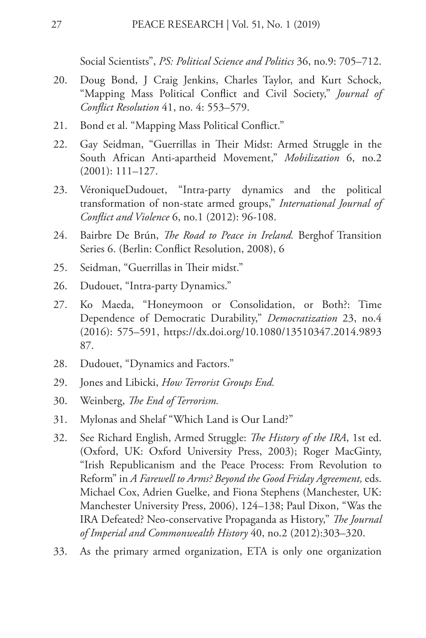Social Scientists", *PS: Political Science and Politics* 36, no.9: 705–712.

- 20. Doug Bond, J Craig Jenkins, Charles Taylor, and Kurt Schock, "Mapping Mass Political Conflict and Civil Society," *Journal of Conflict Resolution* 41, no. 4: 553–579.
- 21. Bond et al. "Mapping Mass Political Conflict."
- 22. Gay Seidman, "Guerrillas in Their Midst: Armed Struggle in the South African Anti-apartheid Movement," *Mobilization* 6, no.2 (2001): 111–127.
- 23. VéroniqueDudouet, "Intra-party dynamics and the political transformation of non-state armed groups," *International Journal of Conflict and Violence* 6, no.1 (2012): 96-108.
- 24. Bairbre De Brún, *The Road to Peace in Ireland.* Berghof Transition Series 6. (Berlin: Conflict Resolution, 2008), 6
- 25. Seidman, "Guerrillas in Their midst."
- 26. Dudouet, "Intra-party Dynamics."
- 27. Ko Maeda, "Honeymoon or Consolidation, or Both?: Time Dependence of Democratic Durability," *Democratization* 23, no.4 (2016): 575–591, https://dx.doi.org/10.1080/13510347.2014.9893 87.
- 28. Dudouet, "Dynamics and Factors."
- 29. Jones and Libicki, *How Terrorist Groups End.*
- 30. Weinberg, *The End of Terrorism.*
- 31. Mylonas and Shelaf "Which Land is Our Land?"
- 32. See Richard English, Armed Struggle: *The History of the IRA*, 1st ed. (Oxford, UK: Oxford University Press, 2003); Roger MacGinty, "Irish Republicanism and the Peace Process: From Revolution to Reform" in *A Farewell to Arms? Beyond the Good Friday Agreement,* eds. Michael Cox, Adrien Guelke, and Fiona Stephens (Manchester, UK: Manchester University Press, 2006), 124–138; Paul Dixon, "Was the IRA Defeated? Neo-conservative Propaganda as History," *The Journal of Imperial and Commonwealth History* 40, no.2 (2012):303–320.
- 33. As the primary armed organization, ETA is only one organization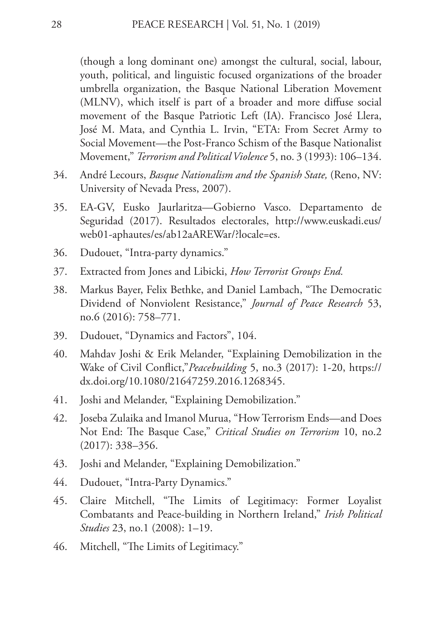(though a long dominant one) amongst the cultural, social, labour, youth, political, and linguistic focused organizations of the broader umbrella organization, the Basque National Liberation Movement (MLNV), which itself is part of a broader and more diffuse social movement of the Basque Patriotic Left (IA). Francisco José Llera, José M. Mata, and Cynthia L. Irvin, "ETA: From Secret Army to Social Movement—the Post-Franco Schism of the Basque Nationalist Movement," *Terrorism and Political Violence* 5, no. 3 (1993): 106–134.

- 34. André Lecours, *Basque Nationalism and the Spanish State,* (Reno, NV: University of Nevada Press, 2007).
- 35. EA-GV, Eusko Jaurlaritza—Gobierno Vasco. Departamento de Seguridad (2017). Resultados electorales, http://www.euskadi.eus/ web01-aphautes/es/ab12aAREWar/?locale=es.
- 36. Dudouet, "Intra-party dynamics."
- 37. Extracted from Jones and Libicki, *How Terrorist Groups End.*
- 38. Markus Bayer, Felix Bethke, and Daniel Lambach, "The Democratic Dividend of Nonviolent Resistance," *Journal of Peace Research* 53, no.6 (2016): 758–771.
- 39. Dudouet, "Dynamics and Factors", 104.
- 40. Mahdav Joshi & Erik Melander, "Explaining Demobilization in the Wake of Civil Conflict,"*Peacebuilding* 5, no.3 (2017): 1-20, https:// dx.doi.org/10.1080/21647259.2016.1268345.
- 41. Joshi and Melander, "Explaining Demobilization."
- 42. Joseba Zulaika and Imanol Murua, "How Terrorism Ends—and Does Not End: The Basque Case," *Critical Studies on Terrorism* 10, no.2 (2017): 338–356.
- 43. Joshi and Melander, "Explaining Demobilization."
- 44. Dudouet, "Intra-Party Dynamics."
- 45. Claire Mitchell, "The Limits of Legitimacy: Former Loyalist Combatants and Peace-building in Northern Ireland," *Irish Political Studies* 23, no.1 (2008): 1–19.
- 46. Mitchell, "The Limits of Legitimacy."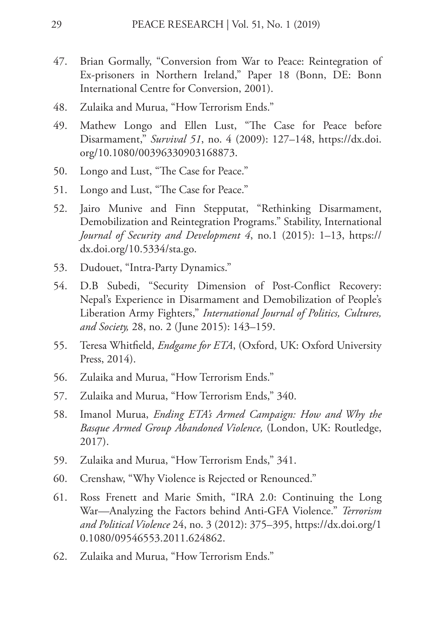- 47. Brian Gormally, "Conversion from War to Peace: Reintegration of Ex-prisoners in Northern Ireland," Paper 18 (Bonn, DE: Bonn International Centre for Conversion, 2001).
- 48. Zulaika and Murua, "How Terrorism Ends."
- 49. Mathew Longo and Ellen Lust, "The Case for Peace before Disarmament," *Survival 51*, no. 4 (2009): 127–148, https://dx.doi. org/10.1080/00396330903168873.
- 50. Longo and Lust, "The Case for Peace."
- 51. Longo and Lust, "The Case for Peace."
- 52. Jairo Munive and Finn Stepputat, "Rethinking Disarmament, Demobilization and Reintegration Programs." Stability, International *Journal of Security and Development 4*, no.1 (2015): 1–13, https:// dx.doi.org/10.5334/sta.go.
- 53. Dudouet, "Intra-Party Dynamics."
- 54. D.B Subedi, "Security Dimension of Post-Conflict Recovery: Nepal's Experience in Disarmament and Demobilization of People's Liberation Army Fighters," *International Journal of Politics, Cultures, and Society,* 28, no. 2 (June 2015): 143–159.
- 55. Teresa Whitfield, *Endgame for ETA*, (Oxford, UK: Oxford University Press, 2014).
- 56. Zulaika and Murua, "How Terrorism Ends."
- 57. Zulaika and Murua, "How Terrorism Ends," 340.
- 58. Imanol Murua, *Ending ETA's Armed Campaign: How and Why the Basque Armed Group Abandoned Violence,* (London, UK: Routledge, 2017).
- 59. Zulaika and Murua, "How Terrorism Ends," 341.
- 60. Crenshaw, "Why Violence is Rejected or Renounced."
- 61. Ross Frenett and Marie Smith, "IRA 2.0: Continuing the Long War—Analyzing the Factors behind Anti-GFA Violence." *Terrorism and Political Violence* 24, no. 3 (2012): 375–395, https://dx.doi.org/1 0.1080/09546553.2011.624862.
- 62. Zulaika and Murua, "How Terrorism Ends."